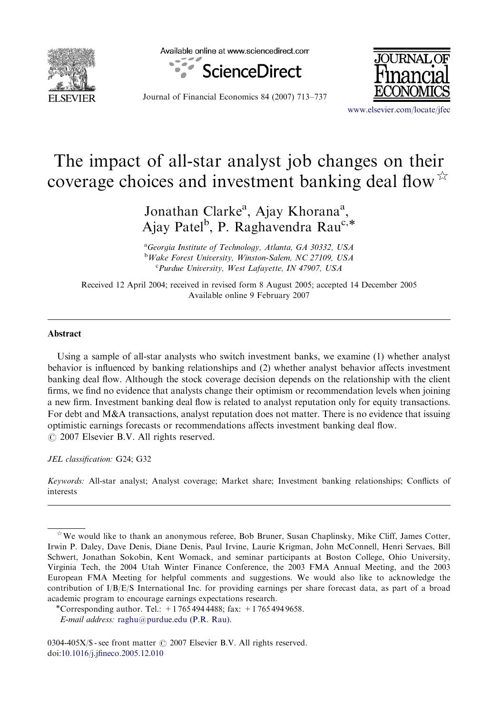

Available online at www.sciencedirect.com





Journal of Financial Economics 84 (2007) 713–737

<www.elsevier.com/locate/jfec>

## The impact of all-star analyst job changes on their coverage choices and investment banking deal flow  $\overline{r}$

Jonathan Clarke<sup>a</sup>, Ajay Khorana<sup>a</sup>, Ajay Patel<sup>b</sup>, P. Raghavendra Rau<sup>c,\*</sup>

<sup>a</sup>Georgia Institute of Technology, Atlanta, GA 30332, USA <sup>b</sup>Wake Forest University, Winston-Salem, NC 27109, USA <sup>c</sup>Purdue University, West Lafayette, IN 47907, USA

Received 12 April 2004; received in revised form 8 August 2005; accepted 14 December 2005 Available online 9 February 2007

## Abstract

Using a sample of all-star analysts who switch investment banks, we examine (1) whether analyst behavior is influenced by banking relationships and (2) whether analyst behavior affects investment banking deal flow. Although the stock coverage decision depends on the relationship with the client firms, we find no evidence that analysts change their optimism or recommendation levels when joining a new firm. Investment banking deal flow is related to analyst reputation only for equity transactions. For debt and M&A transactions, analyst reputation does not matter. There is no evidence that issuing optimistic earnings forecasts or recommendations affects investment banking deal flow.  $\odot$  2007 Elsevier B.V. All rights reserved.

JEL classification: G24; G32

Keywords: All-star analyst; Analyst coverage; Market share; Investment banking relationships; Conflicts of interests

 $\dot{\gamma}$  We would like to thank an anonymous referee, Bob Bruner, Susan Chaplinsky, Mike Cliff, James Cotter, Irwin P. Daley, Dave Denis, Diane Denis, Paul Irvine, Laurie Krigman, John McConnell, Henri Servaes, Bill Schwert, Jonathan Sokobin, Kent Womack, and seminar participants at Boston College, Ohio University, Virginia Tech, the 2004 Utah Winter Finance Conference, the 2003 FMA Annual Meeting, and the 2003 European FMA Meeting for helpful comments and suggestions. We would also like to acknowledge the contribution of I/B/E/S International Inc. for providing earnings per share forecast data, as part of a broad academic program to encourage earnings expectations research.

<sup>\*</sup>Corresponding author. Tel.:  $+17654944488$ ; fax:  $+17654949658$ .

E-mail address: [raghu@purdue.edu \(P.R. Rau\).](mailto:raghu@purdue.edu)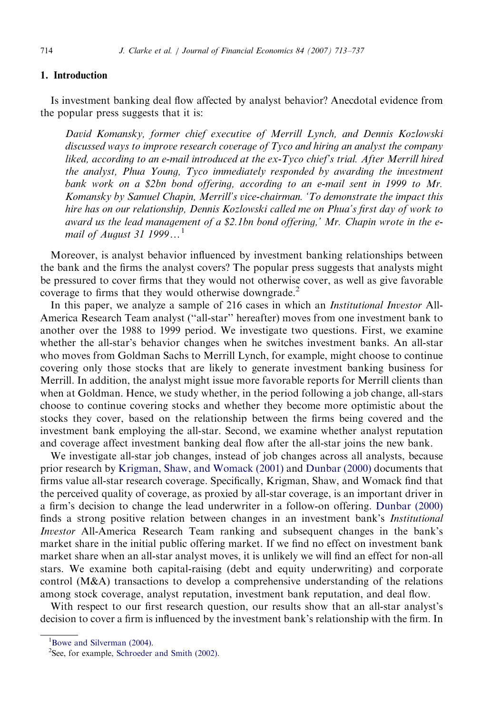## 1. Introduction

Is investment banking deal flow affected by analyst behavior? Anecdotal evidence from the popular press suggests that it is:

David Komansky, former chief executive of Merrill Lynch, and Dennis Kozlowski discussed ways to improve research coverage of Tyco and hiring an analyst the company liked, according to an e-mail introduced at the ex-Tyco chief's trial. After Merrill hired the analyst, Phua Young, Tyco immediately responded by awarding the investment bank work on a \$2bn bond offering, according to an e-mail sent in 1999 to Mr. Komansky by Samuel Chapin, Merrill's vice-chairman. 'To demonstrate the impact this hire has on our relationship, Dennis Kozlowski called me on Phua's first day of work to award us the lead management of a \$2.1bn bond offering,' Mr. Chapin wrote in the email of August 31 1999 $\dots$ <sup>1</sup>

Moreover, is analyst behavior influenced by investment banking relationships between the bank and the firms the analyst covers? The popular press suggests that analysts might be pressured to cover firms that they would not otherwise cover, as well as give favorable coverage to firms that they would otherwise downgrade.<sup>2</sup>

In this paper, we analyze a sample of 216 cases in which an *Institutional Investor* All-America Research Team analyst (''all-star'' hereafter) moves from one investment bank to another over the 1988 to 1999 period. We investigate two questions. First, we examine whether the all-star's behavior changes when he switches investment banks. An all-star who moves from Goldman Sachs to Merrill Lynch, for example, might choose to continue covering only those stocks that are likely to generate investment banking business for Merrill. In addition, the analyst might issue more favorable reports for Merrill clients than when at Goldman. Hence, we study whether, in the period following a job change, all-stars choose to continue covering stocks and whether they become more optimistic about the stocks they cover, based on the relationship between the firms being covered and the investment bank employing the all-star. Second, we examine whether analyst reputation and coverage affect investment banking deal flow after the all-star joins the new bank.

We investigate all-star job changes, instead of job changes across all analysts, because prior research by [Krigman, Shaw, and Womack \(2001\)](#page--1-0) and [Dunbar \(2000\)](#page--1-0) documents that firms value all-star research coverage. Specifically, Krigman, Shaw, and Womack find that the perceived quality of coverage, as proxied by all-star coverage, is an important driver in a firm's decision to change the lead underwriter in a follow-on offering. [Dunbar \(2000\)](#page--1-0) finds a strong positive relation between changes in an investment bank's Institutional Investor All-America Research Team ranking and subsequent changes in the bank's market share in the initial public offering market. If we find no effect on investment bank market share when an all-star analyst moves, it is unlikely we will find an effect for non-all stars. We examine both capital-raising (debt and equity underwriting) and corporate control (M&A) transactions to develop a comprehensive understanding of the relations among stock coverage, analyst reputation, investment bank reputation, and deal flow.

With respect to our first research question, our results show that an all-star analyst's decision to cover a firm is influenced by the investment bank's relationship with the firm. In

<sup>&</sup>lt;sup>1</sup>[Bowe and Silverman \(2004\)](#page--1-0).

<sup>&</sup>lt;sup>2</sup>See, for example, [Schroeder and Smith \(2002\)](#page--1-0).